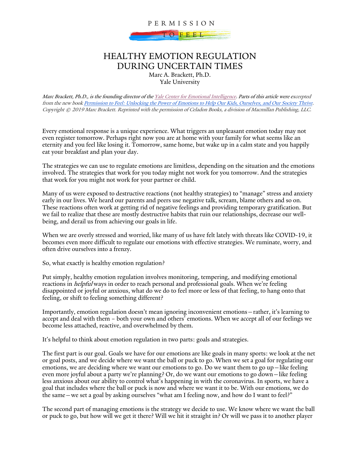## P E R M I S S I O N



# HEALTHY EMOTION REGULATION DURING UNCERTAIN TIMES Marc A. Brackett, Ph.D. Yale University

Marc Brackett, Ph.D., is the founding director of the Yale Center for Emotional Intelligence. Parts of this article were excerpted from the new book Permission to Feel: Unlocking the Power of Emotions to Help Our Kids, Ourselves, and Our Society Thrive. Copyright © 2019 Marc Brackett. Reprinted with the permission of Celadon Books, a division of Macmillan Publishing, LLC.

Every emotional response is a unique experience. What triggers an unpleasant emotion today may not even register tomorrow. Perhaps right now you are at home with your family for what seems like an eternity and you feel like losing it. Tomorrow, same home, but wake up in a calm state and you happily eat your breakfast and plan your day.

The strategies we can use to regulate emotions are limitless, depending on the situation and the emotions involved. The strategies that work for you today might not work for you tomorrow. And the strategies that work for you might not work for your partner or child.

Many of us were exposed to destructive reactions (not healthy strategies) to "manage" stress and anxiety early in our lives. We heard our parents and peers use negative talk, scream, blame others and so on. These reactions often work at getting rid of negative feelings and providing temporary gratification. But we fail to realize that these are mostly destructive habits that ruin our relationships, decrease our wellbeing, and derail us from achieving our goals in life.

When we are overly stressed and worried, like many of us have felt lately with threats like COVID-19, it becomes even more difficult to regulate our emotions with effective strategies. We ruminate, worry, and often drive ourselves into a frenzy.

So, what exactly is healthy emotion regulation?

Put simply, healthy emotion regulation involves monitoring, tempering, and modifying emotional reactions in *helpful* ways in order to reach personal and professional goals. When we're feeling disappointed or joyful or anxious, what do we do to feel more or less of that feeling, to hang onto that feeling, or shift to feeling something different?

Importantly, emotion regulation doesn't mean ignoring inconvenient emotions—rather, it's learning to accept and deal with them – both your own and others' emotions. When we accept all of our feelings we become less attached, reactive, and overwhelmed by them.

It's helpful to think about emotion regulation in two parts: goals and strategies.

The first part is our goal. Goals we have for our emotions are like goals in many sports: we look at the net or goal posts, and we decide where we want the ball or puck to go. When we set a goal for regulating our emotions, we are deciding where we want our emotions to go. Do we want them to go up—like feeling even more joyful about a party we're planning? Or, do we want our emotions to go down—like feeling less anxious about our ability to control what's happening in with the coronavirus. In sports, we have a goal that includes where the ball or puck is now and where we want it to be. With our emotions, we do the same—we set a goal by asking ourselves "what am I feeling now, and how do I want to feel?"

The second part of managing emotions is the strategy we decide to use. We know where we want the ball or puck to go, but how will we get it there? Will we hit it straight in? Or will we pass it to another player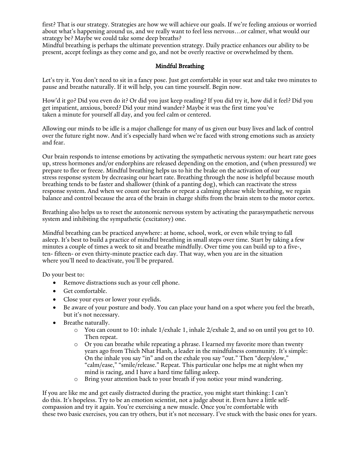first? That is our strategy. Strategies are how we will achieve our goals. If we're feeling anxious or worried about what's happening around us, and we really want to feel less nervous…or calmer, what would our strategy be? Maybe we could take some deep breaths?

Mindful breathing is perhaps the ultimate prevention strategy. Daily practice enhances our ability to be present, accept feelings as they come and go, and not be overly reactive or overwhelmed by them.

## Mindful Breathing

Let's try it. You don't need to sit in a fancy pose. Just get comfortable in your seat and take two minutes to pause and breathe naturally. If it will help, you can time yourself. Begin now.

How'd it go? Did you even do it? Or did you just keep reading? If you did try it, how did it feel? Did you get impatient, anxious, bored? Did your mind wander? Maybe it was the first time you've taken a minute for yourself all day, and you feel calm or centered.

Allowing our minds to be idle is a major challenge for many of us given our busy lives and lack of control over the future right now. And it's especially hard when we're faced with strong emotions such as anxiety and fear.

Our brain responds to intense emotions by activating the sympathetic nervous system: our heart rate goes up, stress hormones and/or endorphins are released depending on the emotion, and (when pressured) we prepare to flee or freeze. Mindful breathing helps us to hit the brake on the activation of our stress response system by decreasing our heart rate. Breathing through the nose is helpful because mouth breathing tends to be faster and shallower (think of a panting dog), which can reactivate the stress response system. And when we count our breaths or repeat a calming phrase while breathing, we regain balance and control because the area of the brain in charge shifts from the brain stem to the motor cortex.

Breathing also helps us to reset the autonomic nervous system by activating the parasympathetic nervous system and inhibiting the sympathetic (excitatory) one.

Mindful breathing can be practiced anywhere: at home, school, work, or even while trying to fall asleep. It's best to build a practice of mindful breathing in small steps over time. Start by taking a few minutes a couple of times a week to sit and breathe mindfully. Over time you can build up to a five-, ten- fifteen- or even thirty-minute practice each day. That way, when you are in the situation where you'll need to deactivate, you'll be prepared.

Do your best to:

- Remove distractions such as your cell phone.
- Get comfortable.
- Close your eyes or lower your eyelids.
- Be aware of your posture and body. You can place your hand on a spot where you feel the breath, but it's not necessary.
- Breathe naturally.
	- o You can count to 10: inhale 1/exhale 1, inhale 2/exhale 2, and so on until you get to 10. Then repeat.
	- $\circ$  Or you can breathe while repeating a phrase. I learned my favorite more than twenty years ago from Thich Nhat Hanh, a leader in the mindfulness community. It's simple: On the inhale you say "in" and on the exhale you say "out." Then "deep/slow," "calm/ease," "smile/release." Repeat. This particular one helps me at night when my mind is racing, and I have a hard time falling asleep.
	- o Bring your attention back to your breath if you notice your mind wandering.

If you are like me and get easily distracted during the practice, you might start thinking: I can't do this. It's hopeless. Try to be an emotion scientist, not a judge about it. Even have a little selfcompassion and try it again. You're exercising a new muscle. Once you're comfortable with these two basic exercises, you can try others, but it's not necessary. I've stuck with the basic ones for years.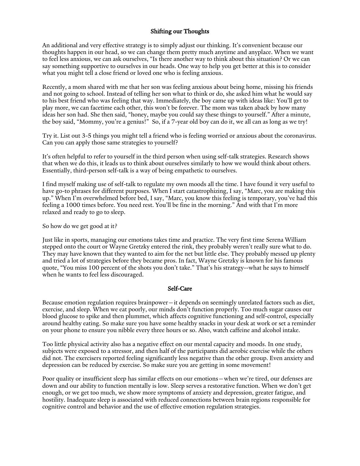### Shifting our Thoughts

An additional and very effective strategy is to simply adjust our thinking. It's convenient because our thoughts happen in our head, so we can change them pretty much anytime and anyplace. When we want to feel less anxious, we can ask ourselves, "Is there another way to think about this situation? Or we can say something supportive to ourselves in our heads. One way to help you get better at this is to consider what you might tell a close friend or loved one who is feeling anxious.

Recently, a mom shared with me that her son was feeling anxious about being home, missing his friends and not going to school. Instead of telling her son what to think or do, she asked him what he would say to his best friend who was feeling that way. Immediately, the boy came up with ideas like: You'll get to play more, we can facetime each other, this won't be forever. The mom was taken aback by how many ideas her son had. She then said, "honey, maybe you could say these things to yourself." After a minute, the boy said, "Mommy, you're a genius!" So, if a 7-year old boy can do it, we all can as long as we try!

Try it. List out 3-5 things you might tell a friend who is feeling worried or anxious about the coronavirus. Can you can apply those same strategies to yourself?

It's often helpful to refer to yourself in the third person when using self-talk strategies. Research shows that when we do this, it leads us to think about ourselves similarly to how we would think about others. Essentially, third-person self-talk is a way of being empathetic to ourselves.

I find myself making use of self-talk to regulate my own moods all the time. I have found it very useful to have go-to phrases for different purposes. When I start catastrophizing, I say, "Marc, you are making this up." When I'm overwhelmed before bed, I say, "Marc, you know this feeling is temporary, you've had this feeling a 1000 times before. You need rest. You'll be fine in the morning." And with that I'm more relaxed and ready to go to sleep.

So how do we get good at it?

Just like in sports, managing our emotions takes time and practice. The very first time Serena William stepped onto the court or Wayne Gretzky entered the rink, they probably weren't really sure what to do. They may have known that they wanted to aim for the net but little else. They probably messed up plenty and tried a lot of strategies before they became pros. In fact, Wayne Gretzky is known for his famous quote, "You miss 100 percent of the shots you don't take." That's his strategy--what he says to himself when he wants to feel less discouraged.

#### Self-Care

Because emotion regulation requires brainpower—it depends on seemingly unrelated factors such as diet, exercise, and sleep. When we eat poorly, our minds don't function properly. Too much sugar causes our blood glucose to spike and then plummet, which affects cognitive functioning and self-control, especially around healthy eating. So make sure you have some healthy snacks in your desk at work or set a reminder on your phone to ensure you nibble every three hours or so. Also, watch caffeine and alcohol intake.

Too little physical activity also has a negative effect on our mental capacity and moods. In one study, subjects were exposed to a stressor, and then half of the participants did aerobic exercise while the others did not. The exercisers reported feeling significantly less negative than the other group. Even anxiety and depression can be reduced by exercise. So make sure you are getting in some movement!

Poor quality or insufficient sleep has similar effects on our emotions—when we're tired, our defenses are down and our ability to function mentally is low. Sleep serves a restorative function. When we don't get enough, or we get too much, we show more symptoms of anxiety and depression, greater fatigue, and hostility. Inadequate sleep is associated with reduced connections between brain regions responsible for cognitive control and behavior and the use of effective emotion regulation strategies.